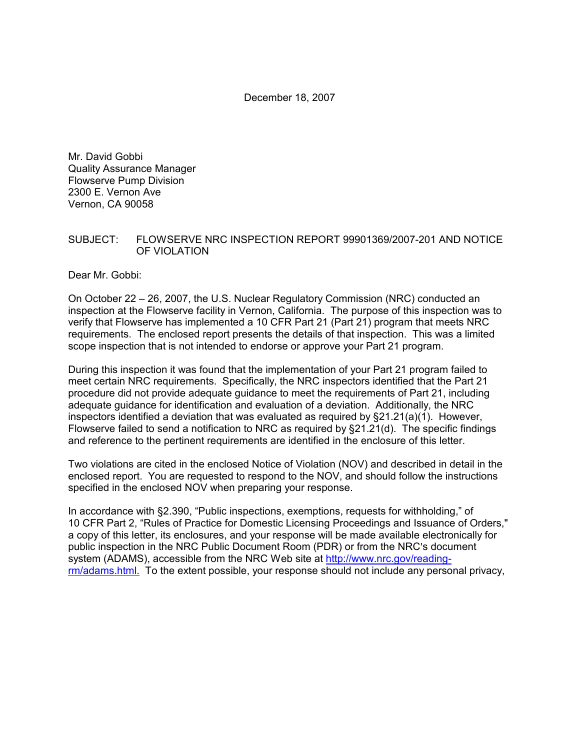December 18, 2007

Mr. David Gobbi Quality Assurance Manager Flowserve Pump Division 2300 E. Vernon Ave Vernon, CA 90058

#### SUBJECT: FLOWSERVE NRC INSPECTION REPORT 99901369/2007-201 AND NOTICE OF VIOLATION

Dear Mr. Gobbi:

On October 22 – 26, 2007, the U.S. Nuclear Regulatory Commission (NRC) conducted an inspection at the Flowserve facility in Vernon, California. The purpose of this inspection was to verify that Flowserve has implemented a 10 CFR Part 21 (Part 21) program that meets NRC requirements. The enclosed report presents the details of that inspection. This was a limited scope inspection that is not intended to endorse or approve your Part 21 program.

During this inspection it was found that the implementation of your Part 21 program failed to meet certain NRC requirements. Specifically, the NRC inspectors identified that the Part 21 procedure did not provide adequate guidance to meet the requirements of Part 21, including adequate guidance for identification and evaluation of a deviation. Additionally, the NRC inspectors identified a deviation that was evaluated as required by  $\S21.21(a)(1)$ . However, Flowserve failed to send a notification to NRC as required by §21.21(d). The specific findings and reference to the pertinent requirements are identified in the enclosure of this letter.

Two violations are cited in the enclosed Notice of Violation (NOV) and described in detail in the enclosed report. You are requested to respond to the NOV, and should follow the instructions specified in the enclosed NOV when preparing your response.

In accordance with §2.390, "Public inspections, exemptions, requests for withholding," of 10 CFR Part 2, "Rules of Practice for Domestic Licensing Proceedings and Issuance of Orders," a copy of this letter, its enclosures, and your response will be made available electronically for public inspection in the NRC Public Document Room (PDR) or from the NRC's document system (ADAMS), accessible from the NRC Web site at http://www.nrc.gov/readingrm/adams.html. To the extent possible, your response should not include any personal privacy,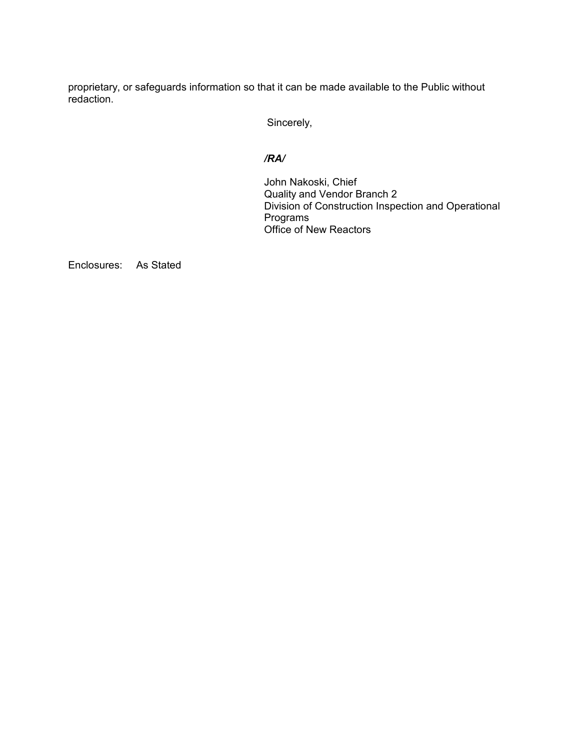proprietary, or safeguards information so that it can be made available to the Public without redaction.

Sincerely,

#### */RA/*

John Nakoski, Chief Quality and Vendor Branch 2 Division of Construction Inspection and Operational Programs Office of New Reactors

Enclosures: As Stated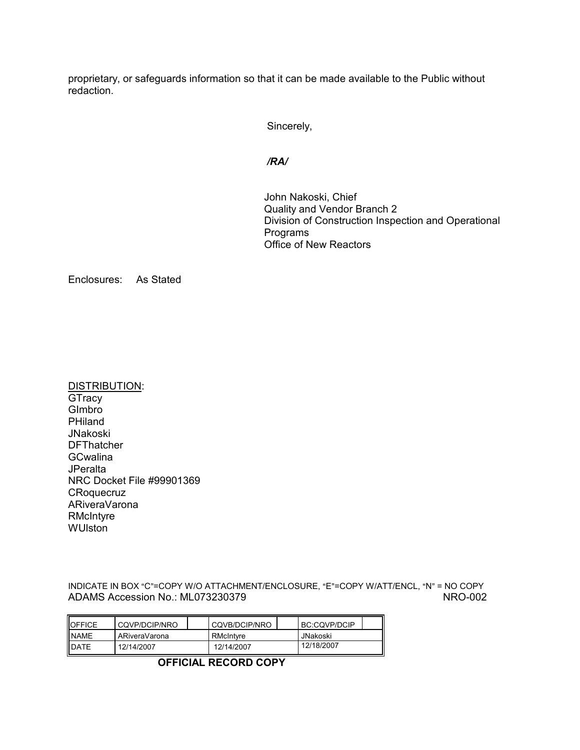proprietary, or safeguards information so that it can be made available to the Public without redaction.

Sincerely,

*/RA/* 

John Nakoski, Chief Quality and Vendor Branch 2 Division of Construction Inspection and Operational Programs Office of New Reactors

Enclosures: As Stated

DISTRIBUTION: **GTracy G**Imbro PHiland JNakoski **DFThatcher GCwalina JPeralta** NRC Docket File #99901369 **CRoquecruz** ARiveraVarona **RMcIntyre** WUlston

INDICATE IN BOX "C"=COPY W/O ATTACHMENT/ENCLOSURE, "E"=COPY W/ATT/ENCL, "N" = NO COPY ADAMS Accession No.: ML073230379 NRO-002

| <b>OFFICE</b> | CQVP/DCIP/NRO |  | CQVB/DCIP/NRO |  | BC:CQVP/DCIP |  |
|---------------|---------------|--|---------------|--|--------------|--|
| <b>NAME</b>   | ARiveraVarona |  | RMcIntyre     |  | JNakoski     |  |
| <b>IDATE</b>  | 12/14/2007    |  | 12/14/2007    |  | 12/18/2007   |  |

**OFFICIAL RECORD COPY**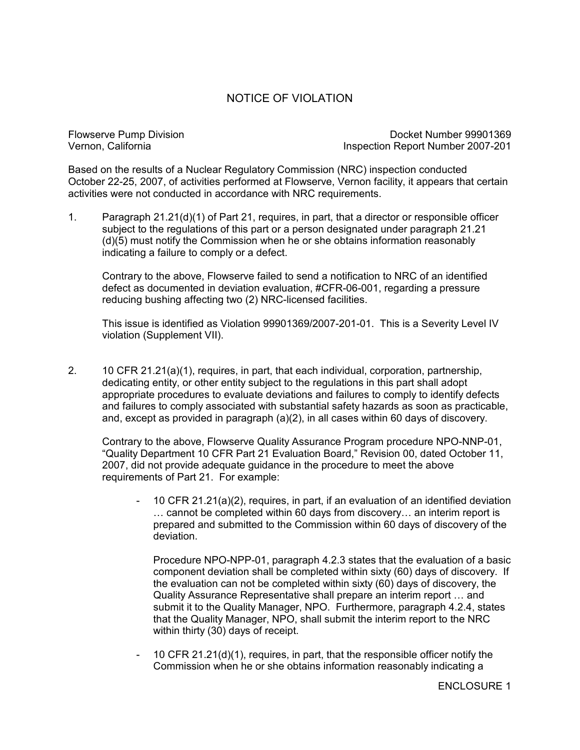# NOTICE OF VIOLATION

Flowserve Pump Division Docket Number 99901369<br>1207-201 Vernon, California Inspection Report Number 2007-201

Based on the results of a Nuclear Regulatory Commission (NRC) inspection conducted October 22-25, 2007, of activities performed at Flowserve, Vernon facility, it appears that certain activities were not conducted in accordance with NRC requirements.

1. Paragraph 21.21(d)(1) of Part 21, requires, in part, that a director or responsible officer subject to the regulations of this part or a person designated under paragraph 21.21 (d)(5) must notify the Commission when he or she obtains information reasonably indicating a failure to comply or a defect.

Contrary to the above, Flowserve failed to send a notification to NRC of an identified defect as documented in deviation evaluation, #CFR-06-001, regarding a pressure reducing bushing affecting two (2) NRC-licensed facilities.

This issue is identified as Violation 99901369/2007-201-01. This is a Severity Level IV violation (Supplement VII).

2. 10 CFR 21.21(a)(1), requires, in part, that each individual, corporation, partnership, dedicating entity, or other entity subject to the regulations in this part shall adopt appropriate procedures to evaluate deviations and failures to comply to identify defects and failures to comply associated with substantial safety hazards as soon as practicable, and, except as provided in paragraph (a)(2), in all cases within 60 days of discovery.

Contrary to the above, Flowserve Quality Assurance Program procedure NPO-NNP-01, "Quality Department 10 CFR Part 21 Evaluation Board," Revision 00, dated October 11, 2007, did not provide adequate guidance in the procedure to meet the above requirements of Part 21. For example:

10 CFR 21.21(a)(2), requires, in part, if an evaluation of an identified deviation … cannot be completed within 60 days from discovery… an interim report is prepared and submitted to the Commission within 60 days of discovery of the deviation.

Procedure NPO-NPP-01, paragraph 4.2.3 states that the evaluation of a basic component deviation shall be completed within sixty (60) days of discovery. If the evaluation can not be completed within sixty (60) days of discovery, the Quality Assurance Representative shall prepare an interim report … and submit it to the Quality Manager, NPO. Furthermore, paragraph 4.2.4, states that the Quality Manager, NPO, shall submit the interim report to the NRC within thirty (30) days of receipt.

- 10 CFR 21.21(d)(1), requires, in part, that the responsible officer notify the Commission when he or she obtains information reasonably indicating a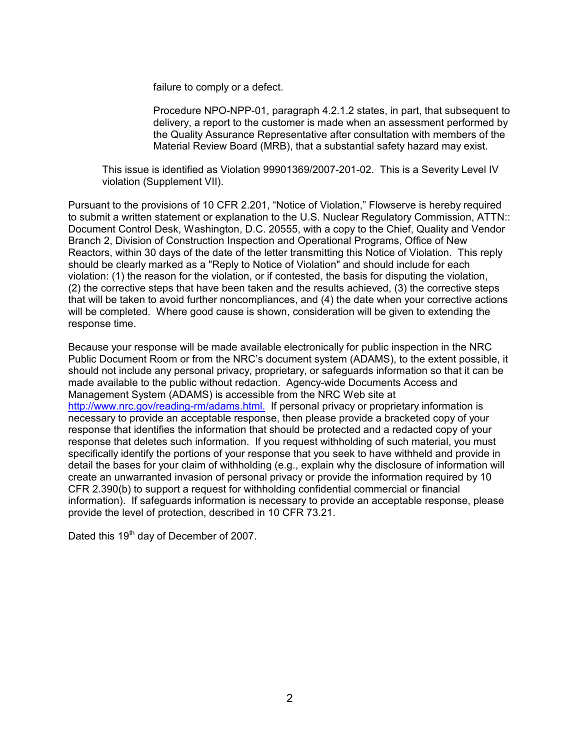failure to comply or a defect.

Procedure NPO-NPP-01, paragraph 4.2.1.2 states, in part, that subsequent to delivery, a report to the customer is made when an assessment performed by the Quality Assurance Representative after consultation with members of the Material Review Board (MRB), that a substantial safety hazard may exist.

This issue is identified as Violation 99901369/2007-201-02. This is a Severity Level IV violation (Supplement VII).

Pursuant to the provisions of 10 CFR 2.201, "Notice of Violation," Flowserve is hereby required to submit a written statement or explanation to the U.S. Nuclear Regulatory Commission, ATTN:: Document Control Desk, Washington, D.C. 20555, with a copy to the Chief, Quality and Vendor Branch 2, Division of Construction Inspection and Operational Programs, Office of New Reactors, within 30 days of the date of the letter transmitting this Notice of Violation. This reply should be clearly marked as a "Reply to Notice of Violation" and should include for each violation: (1) the reason for the violation, or if contested, the basis for disputing the violation, (2) the corrective steps that have been taken and the results achieved, (3) the corrective steps that will be taken to avoid further noncompliances, and (4) the date when your corrective actions will be completed. Where good cause is shown, consideration will be given to extending the response time.

Because your response will be made available electronically for public inspection in the NRC Public Document Room or from the NRC's document system (ADAMS), to the extent possible, it should not include any personal privacy, proprietary, or safeguards information so that it can be made available to the public without redaction. Agency-wide Documents Access and Management System (ADAMS) is accessible from the NRC Web site at http://www.nrc.gov/reading-rm/adams.html. If personal privacy or proprietary information is necessary to provide an acceptable response, then please provide a bracketed copy of your response that identifies the information that should be protected and a redacted copy of your response that deletes such information. If you request withholding of such material, you must specifically identify the portions of your response that you seek to have withheld and provide in detail the bases for your claim of withholding (e.g., explain why the disclosure of information will create an unwarranted invasion of personal privacy or provide the information required by 10 CFR 2.390(b) to support a request for withholding confidential commercial or financial information). If safeguards information is necessary to provide an acceptable response, please provide the level of protection, described in 10 CFR 73.21.

Dated this 19<sup>th</sup> day of December of 2007.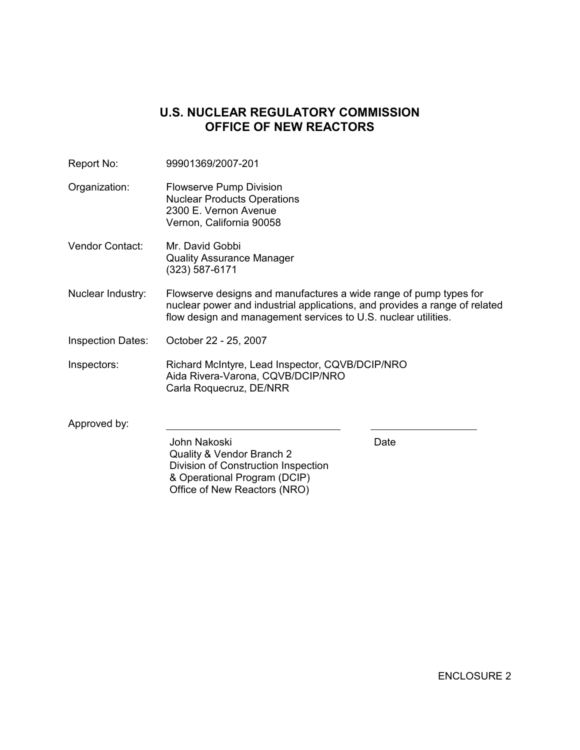# **U.S. NUCLEAR REGULATORY COMMISSION OFFICE OF NEW REACTORS**

| Report No:               | 99901369/2007-201                                                                                                                                                                                                 |      |  |
|--------------------------|-------------------------------------------------------------------------------------------------------------------------------------------------------------------------------------------------------------------|------|--|
| Organization:            | Flowserve Pump Division<br><b>Nuclear Products Operations</b><br>2300 E. Vernon Avenue<br>Vernon, California 90058                                                                                                |      |  |
| <b>Vendor Contact:</b>   | Mr. David Gobbi<br><b>Quality Assurance Manager</b><br>(323) 587-6171                                                                                                                                             |      |  |
| Nuclear Industry:        | Flowserve designs and manufactures a wide range of pump types for<br>nuclear power and industrial applications, and provides a range of related<br>flow design and management services to U.S. nuclear utilities. |      |  |
| <b>Inspection Dates:</b> | October 22 - 25, 2007                                                                                                                                                                                             |      |  |
| Inspectors:              | Richard McIntyre, Lead Inspector, CQVB/DCIP/NRO<br>Aida Rivera-Varona, CQVB/DCIP/NRO<br>Carla Roquecruz, DE/NRR                                                                                                   |      |  |
| Approved by:             |                                                                                                                                                                                                                   |      |  |
|                          | John Nakoski<br>Quality & Vendor Branch 2<br>Division of Construction Inspection<br>& Operational Program (DCIP)<br>Office of New Reactors (NRO)                                                                  | Date |  |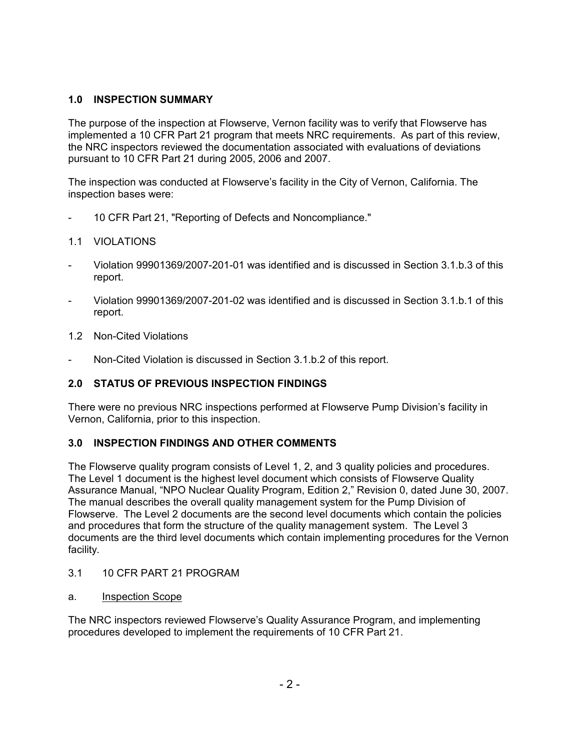## **1.0 INSPECTION SUMMARY**

The purpose of the inspection at Flowserve, Vernon facility was to verify that Flowserve has implemented a 10 CFR Part 21 program that meets NRC requirements. As part of this review, the NRC inspectors reviewed the documentation associated with evaluations of deviations pursuant to 10 CFR Part 21 during 2005, 2006 and 2007.

The inspection was conducted at Flowserve's facility in the City of Vernon, California. The inspection bases were:

- 10 CFR Part 21, "Reporting of Defects and Noncompliance."

## 1.1 VIOLATIONS

- Violation 99901369/2007-201-01 was identified and is discussed in Section 3.1.b.3 of this report.
- Violation 99901369/2007-201-02 was identified and is discussed in Section 3.1.b.1 of this report.
- 1.2 Non-Cited Violations
- Non-Cited Violation is discussed in Section 3.1.b.2 of this report.

# **2.0 STATUS OF PREVIOUS INSPECTION FINDINGS**

There were no previous NRC inspections performed at Flowserve Pump Division's facility in Vernon, California, prior to this inspection.

# **3.0 INSPECTION FINDINGS AND OTHER COMMENTS**

The Flowserve quality program consists of Level 1, 2, and 3 quality policies and procedures. The Level 1 document is the highest level document which consists of Flowserve Quality Assurance Manual, "NPO Nuclear Quality Program, Edition 2," Revision 0, dated June 30, 2007. The manual describes the overall quality management system for the Pump Division of Flowserve. The Level 2 documents are the second level documents which contain the policies and procedures that form the structure of the quality management system. The Level 3 documents are the third level documents which contain implementing procedures for the Vernon facility.

- 3.1 10 CFR PART 21 PROGRAM
- a. Inspection Scope

The NRC inspectors reviewed Flowserve's Quality Assurance Program, and implementing procedures developed to implement the requirements of 10 CFR Part 21.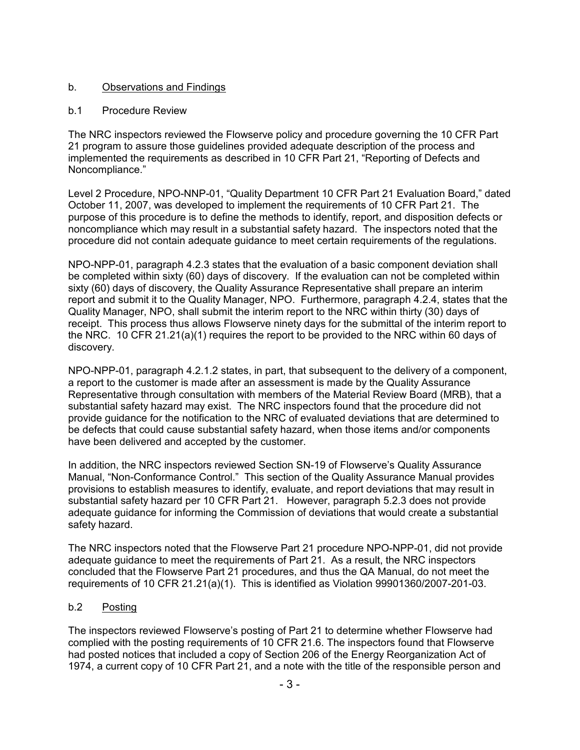## b. Observations and Findings

#### b.1 Procedure Review

The NRC inspectors reviewed the Flowserve policy and procedure governing the 10 CFR Part 21 program to assure those guidelines provided adequate description of the process and implemented the requirements as described in 10 CFR Part 21, "Reporting of Defects and Noncompliance."

Level 2 Procedure, NPO-NNP-01, "Quality Department 10 CFR Part 21 Evaluation Board," dated October 11, 2007, was developed to implement the requirements of 10 CFR Part 21. The purpose of this procedure is to define the methods to identify, report, and disposition defects or noncompliance which may result in a substantial safety hazard. The inspectors noted that the procedure did not contain adequate guidance to meet certain requirements of the regulations.

NPO-NPP-01, paragraph 4.2.3 states that the evaluation of a basic component deviation shall be completed within sixty (60) days of discovery. If the evaluation can not be completed within sixty (60) days of discovery, the Quality Assurance Representative shall prepare an interim report and submit it to the Quality Manager, NPO. Furthermore, paragraph 4.2.4, states that the Quality Manager, NPO, shall submit the interim report to the NRC within thirty (30) days of receipt. This process thus allows Flowserve ninety days for the submittal of the interim report to the NRC. 10 CFR 21.21(a)(1) requires the report to be provided to the NRC within 60 days of discovery.

NPO-NPP-01, paragraph 4.2.1.2 states, in part, that subsequent to the delivery of a component, a report to the customer is made after an assessment is made by the Quality Assurance Representative through consultation with members of the Material Review Board (MRB), that a substantial safety hazard may exist. The NRC inspectors found that the procedure did not provide guidance for the notification to the NRC of evaluated deviations that are determined to be defects that could cause substantial safety hazard, when those items and/or components have been delivered and accepted by the customer.

In addition, the NRC inspectors reviewed Section SN-19 of Flowserve's Quality Assurance Manual, "Non-Conformance Control." This section of the Quality Assurance Manual provides provisions to establish measures to identify, evaluate, and report deviations that may result in substantial safety hazard per 10 CFR Part 21. However, paragraph 5.2.3 does not provide adequate guidance for informing the Commission of deviations that would create a substantial safety hazard.

The NRC inspectors noted that the Flowserve Part 21 procedure NPO-NPP-01, did not provide adequate guidance to meet the requirements of Part 21. As a result, the NRC inspectors concluded that the Flowserve Part 21 procedures, and thus the QA Manual, do not meet the requirements of 10 CFR 21.21(a)(1). This is identified as Violation 99901360/2007-201-03.

## b.2 Posting

The inspectors reviewed Flowserve's posting of Part 21 to determine whether Flowserve had complied with the posting requirements of 10 CFR 21.6. The inspectors found that Flowserve had posted notices that included a copy of Section 206 of the Energy Reorganization Act of 1974, a current copy of 10 CFR Part 21, and a note with the title of the responsible person and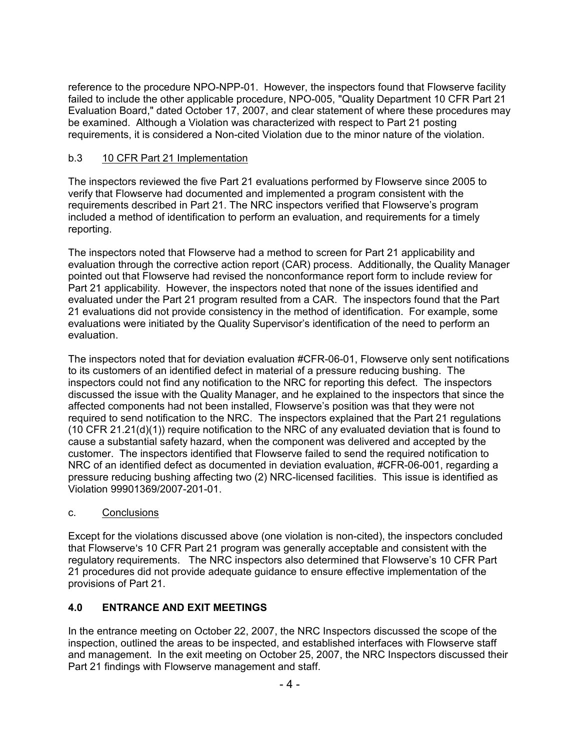reference to the procedure NPO-NPP-01. However, the inspectors found that Flowserve facility failed to include the other applicable procedure, NPO-005, "Quality Department 10 CFR Part 21 Evaluation Board," dated October 17, 2007, and clear statement of where these procedures may be examined. Although a Violation was characterized with respect to Part 21 posting requirements, it is considered a Non-cited Violation due to the minor nature of the violation.

## b.3 10 CFR Part 21 Implementation

The inspectors reviewed the five Part 21 evaluations performed by Flowserve since 2005 to verify that Flowserve had documented and implemented a program consistent with the requirements described in Part 21. The NRC inspectors verified that Flowserve's program included a method of identification to perform an evaluation, and requirements for a timely reporting.

The inspectors noted that Flowserve had a method to screen for Part 21 applicability and evaluation through the corrective action report (CAR) process. Additionally, the Quality Manager pointed out that Flowserve had revised the nonconformance report form to include review for Part 21 applicability. However, the inspectors noted that none of the issues identified and evaluated under the Part 21 program resulted from a CAR. The inspectors found that the Part 21 evaluations did not provide consistency in the method of identification. For example, some evaluations were initiated by the Quality Supervisor's identification of the need to perform an evaluation.

The inspectors noted that for deviation evaluation #CFR-06-01, Flowserve only sent notifications to its customers of an identified defect in material of a pressure reducing bushing. The inspectors could not find any notification to the NRC for reporting this defect. The inspectors discussed the issue with the Quality Manager, and he explained to the inspectors that since the affected components had not been installed, Flowserve's position was that they were not required to send notification to the NRC. The inspectors explained that the Part 21 regulations (10 CFR 21.21(d)(1)) require notification to the NRC of any evaluated deviation that is found to cause a substantial safety hazard, when the component was delivered and accepted by the customer. The inspectors identified that Flowserve failed to send the required notification to NRC of an identified defect as documented in deviation evaluation, #CFR-06-001, regarding a pressure reducing bushing affecting two (2) NRC-licensed facilities. This issue is identified as Violation 99901369/2007-201-01.

## c. Conclusions

Except for the violations discussed above (one violation is non-cited), the inspectors concluded that Flowserve's 10 CFR Part 21 program was generally acceptable and consistent with the regulatory requirements. The NRC inspectors also determined that Flowserve's 10 CFR Part 21 procedures did not provide adequate guidance to ensure effective implementation of the provisions of Part 21.

# **4.0 ENTRANCE AND EXIT MEETINGS**

In the entrance meeting on October 22, 2007, the NRC Inspectors discussed the scope of the inspection, outlined the areas to be inspected, and established interfaces with Flowserve staff and management. In the exit meeting on October 25, 2007, the NRC Inspectors discussed their Part 21 findings with Flowserve management and staff.